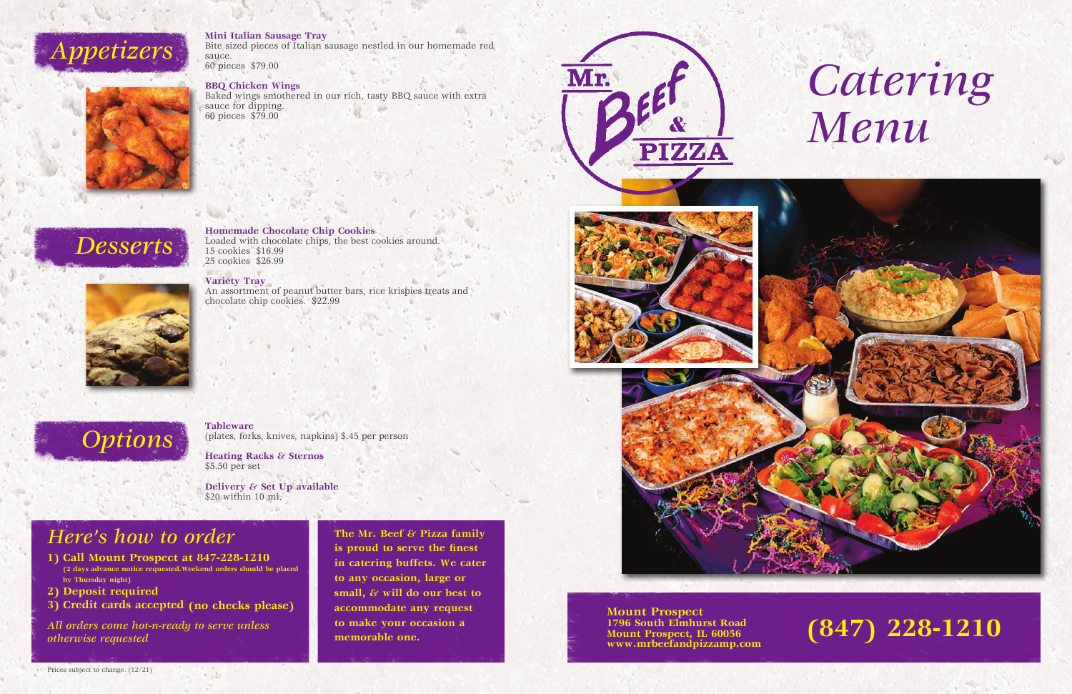



Bite sized pieces of Italian sausage nestled in our homemade red sauce. 60 pieces \$79.00

**BBQ Chicken Wings**

Baked wings smothered in our rich, tasty BBQ sauce with extra sauce for dipping. 60 pieces \$79.00

## *Desserts*



**Homemade Chocolate Chip Cookies** Loaded with chocolate chips, the best cookies around. 15 cookies \$16.99 25 cookies \$26.99

## **Variety Tray**

An assortment of peanut butter bars, rice krispies treats and chocolate chip cookies. \$22.99

# **Options Tableware**

**The Mr. Beef & Pizza family is proud to serve the finest in catering buffets. We cater to any occasion, large or small, & will do our best to accommodate any request to make your occasion a memorable one.**







(plates, forks, knives, napkins) \$.45 per person

**Heating Racks & Sternos** \$5.50 per set

**Delivery & Set Up available** \$20 within 10 mi.

- **1) Call Mount Prospect at 847-228-1210 (2 days advance notice requested.Weekend orders should be placed by Thursday night)**
- **2) Deposit required**
- **3) Credit cards accepted (no checks please)**

*All orders come hot-n-ready to serve unless otherwise requested*

## *Here's how to order*

**(847) 228-1210**

#### **Mount Prospect 1796 South Elmhurst Road Mount Prospect, IL 60056 www.mrbeefandpizzamp.com**